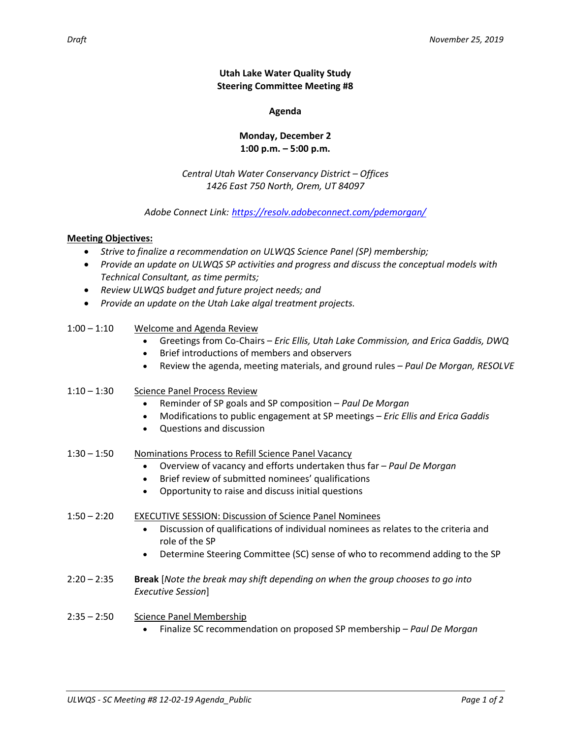**Utah Lake Water Quality Study Steering Committee Meeting #8**

**Agenda**

### **Monday, December 2 1:00 p.m. – 5:00 p.m.**

### *Central Utah Water Conservancy District – Offices 1426 East 750 North, Orem, UT 84097*

# *Adobe Connect Link: <https://resolv.adobeconnect.com/pdemorgan/>*

# **Meeting Objectives:**

- *Strive to finalize a recommendation on ULWQS Science Panel (SP) membership;*
- *Provide an update on ULWQS SP activities and progress and discuss the conceptual models with Technical Consultant, as time permits;*
- *Review ULWQS budget and future project needs; and*
- *Provide an update on the Utah Lake algal treatment projects.*

| $1:00 - 1:10$ | Welcome and Agenda Review<br>Greetings from Co-Chairs - Eric Ellis, Utah Lake Commission, and Erica Gaddis, DWQ<br>Brief introductions of members and observers                                                                                                     |
|---------------|---------------------------------------------------------------------------------------------------------------------------------------------------------------------------------------------------------------------------------------------------------------------|
|               | Review the agenda, meeting materials, and ground rules - Paul De Morgan, RESOLVE<br>$\bullet$                                                                                                                                                                       |
| $1:10 - 1:30$ | <b>Science Panel Process Review</b><br>Reminder of SP goals and SP composition - Paul De Morgan<br>Modifications to public engagement at SP meetings - Eric Ellis and Erica Gaddis<br>Questions and discussion                                                      |
| $1:30 - 1:50$ | Nominations Process to Refill Science Panel Vacancy<br>Overview of vacancy and efforts undertaken thus far - Paul De Morgan<br>Brief review of submitted nominees' qualifications<br>Opportunity to raise and discuss initial questions                             |
| $1:50 - 2:20$ | <b>EXECUTIVE SESSION: Discussion of Science Panel Nominees</b><br>Discussion of qualifications of individual nominees as relates to the criteria and<br>role of the SP<br>Determine Steering Committee (SC) sense of who to recommend adding to the SP<br>$\bullet$ |
| $2:20 - 2:35$ | Break [Note the break may shift depending on when the group chooses to go into<br>Executive Session]                                                                                                                                                                |
| $2:35 - 2:50$ | <b>Science Panel Membership</b>                                                                                                                                                                                                                                     |

Finalize SC recommendation on proposed SP membership – *Paul De Morgan*